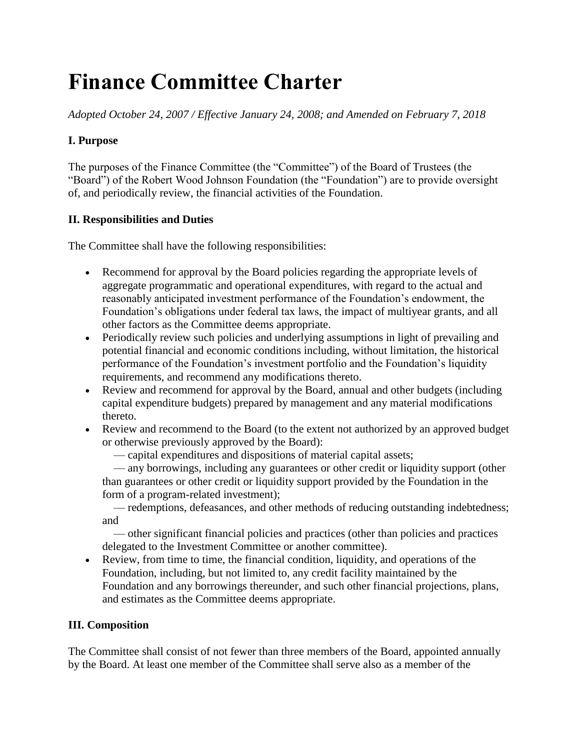# **Finance Committee Charter**

*Adopted October 24, 2007 / Effective January 24, 2008; and Amended on February 7, 2018*

## **I. Purpose**

The purposes of the Finance Committee (the "Committee") of the Board of Trustees (the "Board") of the Robert Wood Johnson Foundation (the "Foundation") are to provide oversight of, and periodically review, the financial activities of the Foundation.

## **II. Responsibilities and Duties**

The Committee shall have the following responsibilities:

- Recommend for approval by the Board policies regarding the appropriate levels of aggregate programmatic and operational expenditures, with regard to the actual and reasonably anticipated investment performance of the Foundation's endowment, the Foundation's obligations under federal tax laws, the impact of multiyear grants, and all other factors as the Committee deems appropriate.
- Periodically review such policies and underlying assumptions in light of prevailing and potential financial and economic conditions including, without limitation, the historical performance of the Foundation's investment portfolio and the Foundation's liquidity requirements, and recommend any modifications thereto.
- Review and recommend for approval by the Board, annual and other budgets (including capital expenditure budgets) prepared by management and any material modifications thereto.
- Review and recommend to the Board (to the extent not authorized by an approved budget or otherwise previously approved by the Board):
	- capital expenditures and dispositions of material capital assets;

 — any borrowings, including any guarantees or other credit or liquidity support (other than guarantees or other credit or liquidity support provided by the Foundation in the form of a program-related investment);

 — redemptions, defeasances, and other methods of reducing outstanding indebtedness; and

 — other significant financial policies and practices (other than policies and practices delegated to the Investment Committee or another committee).

• Review, from time to time, the financial condition, liquidity, and operations of the Foundation, including, but not limited to, any credit facility maintained by the Foundation and any borrowings thereunder, and such other financial projections, plans, and estimates as the Committee deems appropriate.

#### **III. Composition**

The Committee shall consist of not fewer than three members of the Board, appointed annually by the Board. At least one member of the Committee shall serve also as a member of the